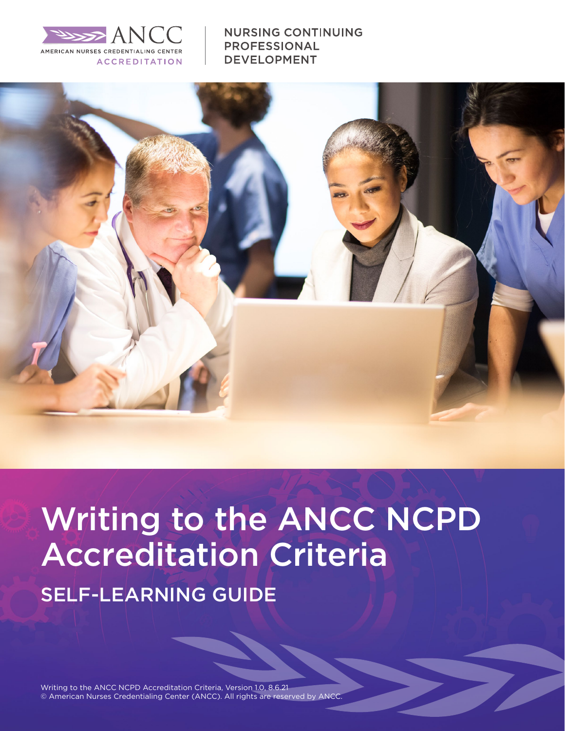

**NURSING CONTINUING PROFESSIONAL DEVELOPMENT** 



# Writing to the ANCC NCPD Accreditation Criteria SELF-LEARNING GUIDE

Writing to the ANCC NCPD Accreditation Criteria, Version 1.0, 8.6.21 © American Nurses Credentialing Center (ANCC). All rights are reserved by ANCC.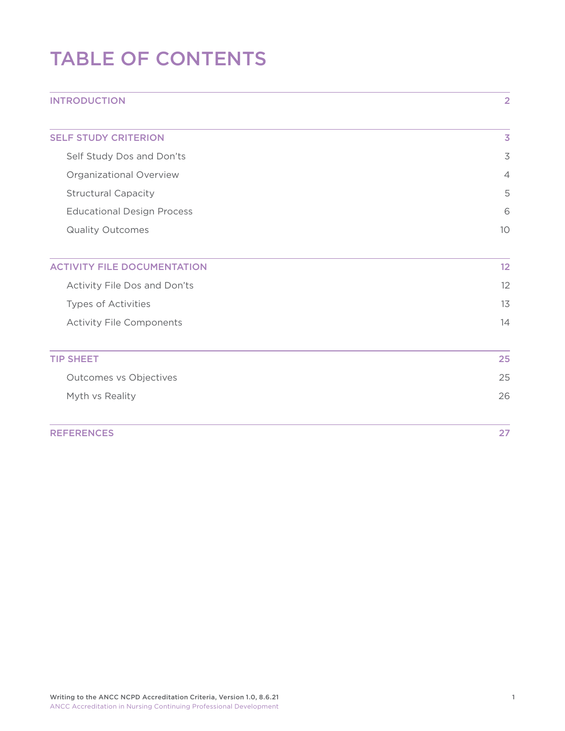# TABLE OF CONTENTS

| <b>INTRODUCTION</b>                | $\overline{2}$           |
|------------------------------------|--------------------------|
| <b>SELF STUDY CRITERION</b>        | $\overline{\mathbf{3}}$  |
| Self Study Dos and Don'ts          | $\overline{\mathcal{S}}$ |
| Organizational Overview            | $\overline{4}$           |
| <b>Structural Capacity</b>         | 5                        |
| <b>Educational Design Process</b>  | 6                        |
| <b>Quality Outcomes</b>            | 10                       |
| <b>ACTIVITY FILE DOCUMENTATION</b> | 12                       |
| Activity File Dos and Don'ts       | 12                       |
| Types of Activities                | 13                       |
| <b>Activity File Components</b>    | 14                       |
| <b>TIP SHEET</b>                   | 25                       |
| Outcomes vs Objectives             | 25                       |
| Myth vs Reality                    | 26                       |
| <b>REFERENCES</b>                  | 27                       |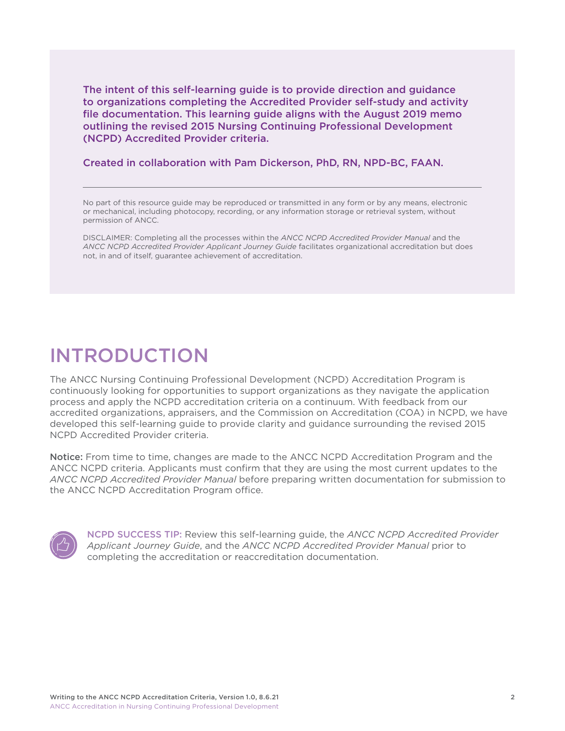<span id="page-2-0"></span>The intent of this self-learning guide is to provide direction and guidance to organizations completing the Accredited Provider self-study and activity file documentation. This learning guide aligns with the August 2019 memo outlining the revised 2015 Nursing Continuing Professional Development (NCPD) Accredited Provider criteria.

Created in collaboration with Pam Dickerson, PhD, RN, NPD-BC, FAAN.

No part of this resource guide may be reproduced or transmitted in any form or by any means, electronic or mechanical, including photocopy, recording, or any information storage or retrieval system, without permission of ANCC.

DISCLAIMER: Completing all the processes within the *ANCC NCPD Accredited Provider Manual* and the *ANCC NCPD Accredited Provider Applicant Journey Guide* facilitates organizational accreditation but does not, in and of itself, guarantee achievement of accreditation.

# INTRODUCTION

The ANCC Nursing Continuing Professional Development (NCPD) Accreditation Program is continuously looking for opportunities to support organizations as they navigate the application process and apply the NCPD accreditation criteria on a continuum. With feedback from our accredited organizations, appraisers, and the Commission on Accreditation (COA) in NCPD, we have developed this self-learning guide to provide clarity and guidance surrounding the revised 2015 NCPD Accredited Provider criteria.

Notice: From time to time, changes are made to the ANCC NCPD Accreditation Program and the ANCC NCPD criteria. Applicants must confirm that they are using the most current updates to the *ANCC NCPD Accredited Provider Manual* before preparing written documentation for submission to the ANCC NCPD Accreditation Program office.



NCPD SUCCESS TIP: Review this self-learning guide, the *ANCC NCPD Accredited Provider Applicant Journey Guide*, and the *ANCC NCPD Accredited Provider Manual* prior to completing the accreditation or reaccreditation documentation.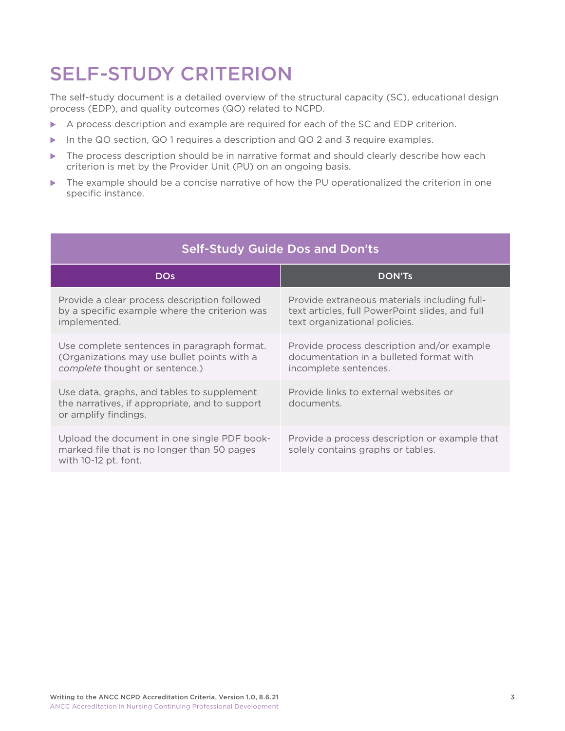# <span id="page-3-0"></span>SELF-STUDY CRITERION

The self-study document is a detailed overview of the structural capacity (SC), educational design process (EDP), and quality outcomes (QO) related to NCPD.

- $\triangleright$  A process description and example are required for each of the SC and EDP criterion.
- In the QO section, QO 1 requires a description and QO 2 and 3 require examples.
- $\blacktriangleright$  The process description should be in narrative format and should clearly describe how each criterion is met by the Provider Unit (PU) on an ongoing basis.
- $\triangleright$  The example should be a concise narrative of how the PU operationalized the criterion in one specific instance.

| Self-Study Guide Dos and Don'ts                                                                                              |                                                                                                                                  |  |
|------------------------------------------------------------------------------------------------------------------------------|----------------------------------------------------------------------------------------------------------------------------------|--|
| <b>DO<sub>S</sub></b>                                                                                                        | <b>DON'Ts</b>                                                                                                                    |  |
| Provide a clear process description followed<br>by a specific example where the criterion was<br>implemented.                | Provide extraneous materials including full-<br>text articles, full PowerPoint slides, and full<br>text organizational policies. |  |
| Use complete sentences in paragraph format.<br>(Organizations may use bullet points with a<br>complete thought or sentence.) | Provide process description and/or example<br>documentation in a bulleted format with<br>incomplete sentences.                   |  |
| Use data, graphs, and tables to supplement<br>the narratives, if appropriate, and to support<br>or amplify findings.         | Provide links to external websites or<br>documents.                                                                              |  |
| Upload the document in one single PDF book-<br>marked file that is no longer than 50 pages<br>with 10-12 pt. font.           | Provide a process description or example that<br>solely contains graphs or tables.                                               |  |

## Self-Study Guide Dos and Don'ts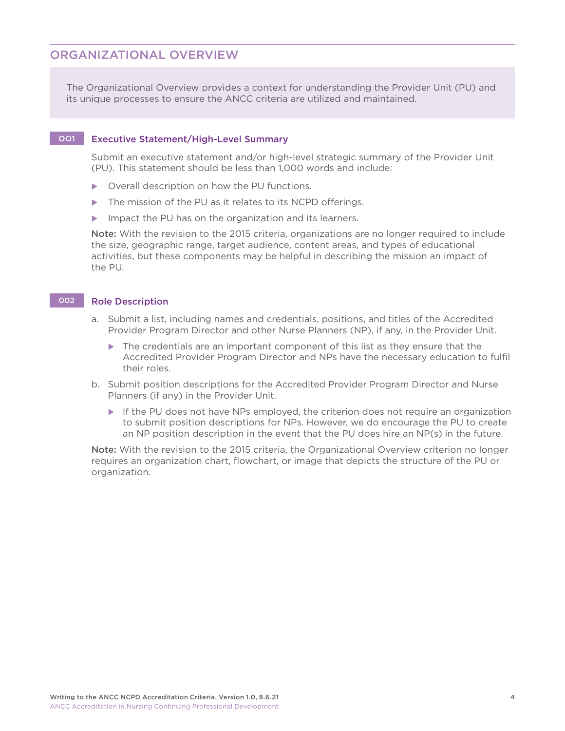### ORGANIZATIONAL OVERVIEW

The Organizational Overview provides a context for understanding the Provider Unit (PU) and its unique processes to ensure the ANCC criteria are utilized and maintained.

#### OO1 Executive Statement/High-Level Summary

 Submit an executive statement and/or high-level strategic summary of the Provider Unit (PU). This statement should be less than 1,000 words and include:

- $\triangleright$  Overall description on how the PU functions.
- $\blacktriangleright$  The mission of the PU as it relates to its NCPD offerings.
- $\blacktriangleright$  Impact the PU has on the organization and its learners.

 Note: With the revision to the 2015 criteria, organizations are no longer required to include the size, geographic range, target audience, content areas, and types of educational activities, but these components may be helpful in describing the mission an impact of the PU.

#### 002 Role Description

- a. Submit a list, including names and credentials, positions, and titles of the Accredited Provider Program Director and other Nurse Planners (NP), if any, in the Provider Unit.
	- $\blacktriangleright$  The credentials are an important component of this list as they ensure that the Accredited Provider Program Director and NPs have the necessary education to fulfil their roles.
- b. Submit position descriptions for the Accredited Provider Program Director and Nurse Planners (if any) in the Provider Unit.
	- $\blacktriangleright$  If the PU does not have NPs employed, the criterion does not require an organization to submit position descriptions for NPs. However, we do encourage the PU to create an NP position description in the event that the PU does hire an NP(s) in the future.

 Note: With the revision to the 2015 criteria, the Organizational Overview criterion no longer requires an organization chart, flowchart, or image that depicts the structure of the PU or organization.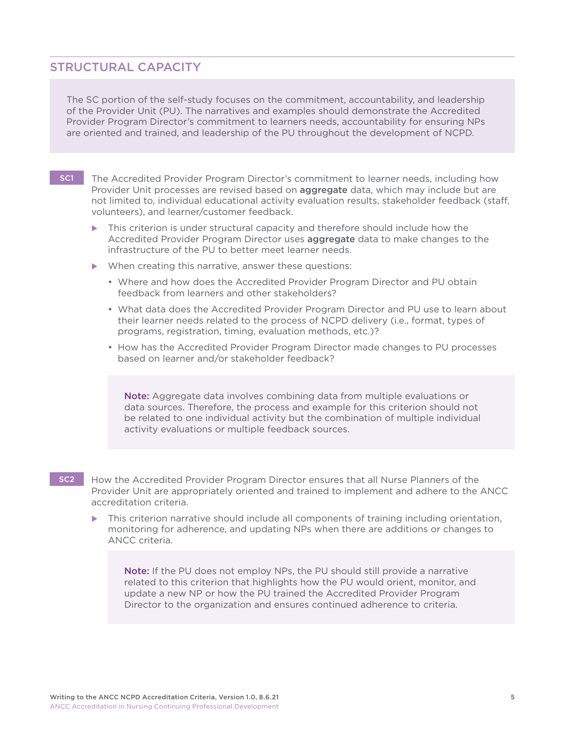### <span id="page-5-0"></span>STRUCTURAL CAPACITY

The SC portion of the self-study focuses on the commitment, accountability, and leadership of the Provider Unit (PU). The narratives and examples should demonstrate the Accredited Provider Program Director's commitment to learners needs, accountability for ensuring NPs are oriented and trained, and leadership of the PU throughout the development of NCPD.

- SC1 The Accredited Provider Program Director's commitment to learner needs, including how Provider Unit processes are revised based on **aggregate** data, which may include but are not limited to, individual educational activity evaluation results, stakeholder feedback (staff, volunteers), and learner/customer feedback.
	- $\triangleright$  This criterion is under structural capacity and therefore should include how the Accredited Provider Program Director uses aggregate data to make changes to the infrastructure of the PU to better meet learner needs.
	- $\blacktriangleright$  When creating this narrative, answer these questions:
		- Where and how does the Accredited Provider Program Director and PU obtain feedback from learners and other stakeholders?
		- What data does the Accredited Provider Program Director and PU use to learn about their learner needs related to the process of NCPD delivery (i.e., format, types of programs, registration, timing, evaluation methods, etc.)?
		- How has the Accredited Provider Program Director made changes to PU processes based on learner and/or stakeholder feedback?

Note: Aggregate data involves combining data from multiple evaluations or data sources. Therefore, the process and example for this criterion should not be related to one individual activity but the combination of multiple individual activity evaluations or multiple feedback sources.

SC2 How the Accredited Provider Program Director ensures that all Nurse Planners of the Provider Unit are appropriately oriented and trained to implement and adhere to the ANCC accreditation criteria.

This criterion narrative should include all components of training including orientation, monitoring for adherence, and updating NPs when there are additions or changes to ANCC criteria.

Note: If the PU does not employ NPs, the PU should still provide a narrative related to this criterion that highlights how the PU would orient, monitor, and update a new NP or how the PU trained the Accredited Provider Program Director to the organization and ensures continued adherence to criteria.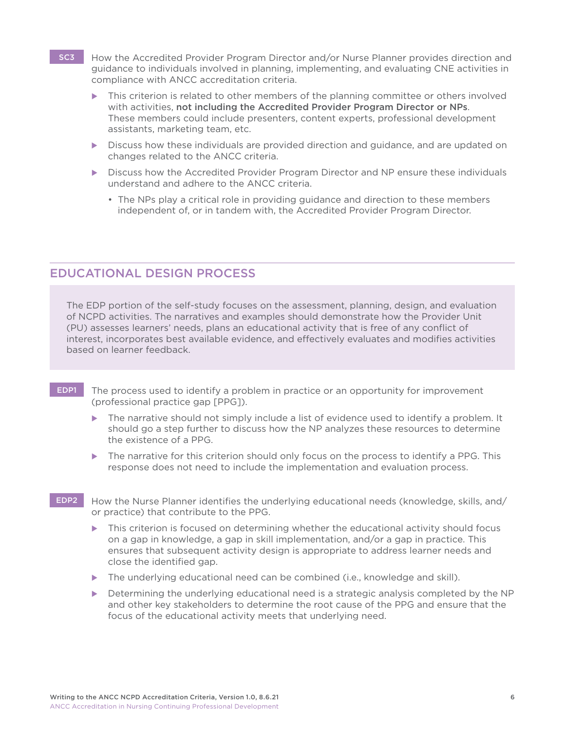- <span id="page-6-0"></span>SC3 How the Accredited Provider Program Director and/or Nurse Planner provides direction and guidance to individuals involved in planning, implementing, and evaluating CNE activities in compliance with ANCC accreditation criteria.
	- This criterion is related to other members of the planning committee or others involved with activities, not including the Accredited Provider Program Director or NPs. These members could include presenters, content experts, professional development assistants, marketing team, etc.
	- $\triangleright$  Discuss how these individuals are provided direction and guidance, and are updated on changes related to the ANCC criteria.
	- **Discuss how the Accredited Provider Program Director and NP ensure these individuals** understand and adhere to the ANCC criteria.
		- The NPs play a critical role in providing guidance and direction to these members independent of, or in tandem with, the Accredited Provider Program Director.

### EDUCATIONAL DESIGN PROCESS

The EDP portion of the self-study focuses on the assessment, planning, design, and evaluation of NCPD activities. The narratives and examples should demonstrate how the Provider Unit (PU) assesses learners' needs, plans an educational activity that is free of any conflict of interest, incorporates best available evidence, and effectively evaluates and modifies activities based on learner feedback.

- EDP1 The process used to identify a problem in practice or an opportunity for improvement (professional practice gap [PPG]).
	- The narrative should not simply include a list of evidence used to identify a problem. It should go a step further to discuss how the NP analyzes these resources to determine the existence of a PPG.
	- The narrative for this criterion should only focus on the process to identify a PPG. This response does not need to include the implementation and evaluation process.
- EDP2 How the Nurse Planner identifies the underlying educational needs (knowledge, skills, and/ or practice) that contribute to the PPG.
	- This criterion is focused on determining whether the educational activity should focus on a gap in knowledge, a gap in skill implementation, and/or a gap in practice. This ensures that subsequent activity design is appropriate to address learner needs and close the identified gap.
	- $\triangleright$  The underlying educational need can be combined (i.e., knowledge and skill).
	- Determining the underlying educational need is a strategic analysis completed by the NP and other key stakeholders to determine the root cause of the PPG and ensure that the focus of the educational activity meets that underlying need.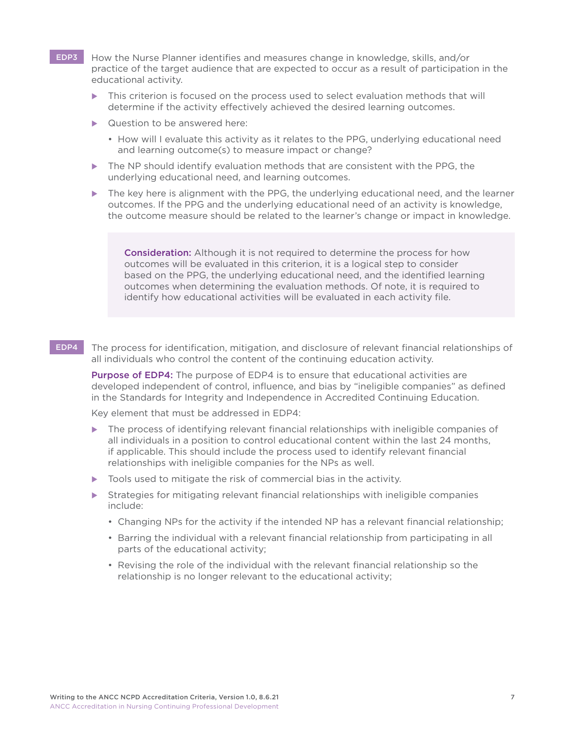- EDP3 How the Nurse Planner identifies and measures change in knowledge, skills, and/or practice of the target audience that are expected to occur as a result of participation in the educational activity.
	- This criterion is focused on the process used to select evaluation methods that will determine if the activity effectively achieved the desired learning outcomes.
	- $\blacktriangleright$  Question to be answered here:
		- How will I evaluate this activity as it relates to the PPG, underlying educational need and learning outcome(s) to measure impact or change?
	- $\triangleright$  The NP should identify evaluation methods that are consistent with the PPG, the underlying educational need, and learning outcomes.
	- The key here is alignment with the PPG, the underlying educational need, and the learner outcomes. If the PPG and the underlying educational need of an activity is knowledge, the outcome measure should be related to the learner's change or impact in knowledge.

Consideration: Although it is not required to determine the process for how outcomes will be evaluated in this criterion, it is a logical step to consider based on the PPG, the underlying educational need, and the identified learning outcomes when determining the evaluation methods. Of note, it is required to identify how educational activities will be evaluated in each activity file.

#### EDP4 The process for identification, mitigation, and disclosure of relevant financial relationships of all individuals who control the content of the continuing education activity.

Purpose of EDP4: The purpose of EDP4 is to ensure that educational activities are developed independent of control, influence, and bias by "ineligible companies" as defined in the Standards for Integrity and Independence in Accredited Continuing Education.

Key element that must be addressed in EDP4:

- $\triangleright$  The process of identifying relevant financial relationships with ineligible companies of all individuals in a position to control educational content within the last 24 months, if applicable. This should include the process used to identify relevant financial relationships with ineligible companies for the NPs as well.
- $\triangleright$  Tools used to mitigate the risk of commercial bias in the activity.
- $\blacktriangleright$  Strategies for mitigating relevant financial relationships with ineligible companies include:
	- Changing NPs for the activity if the intended NP has a relevant financial relationship;
	- Barring the individual with a relevant financial relationship from participating in all parts of the educational activity;
	- Revising the role of the individual with the relevant financial relationship so the relationship is no longer relevant to the educational activity;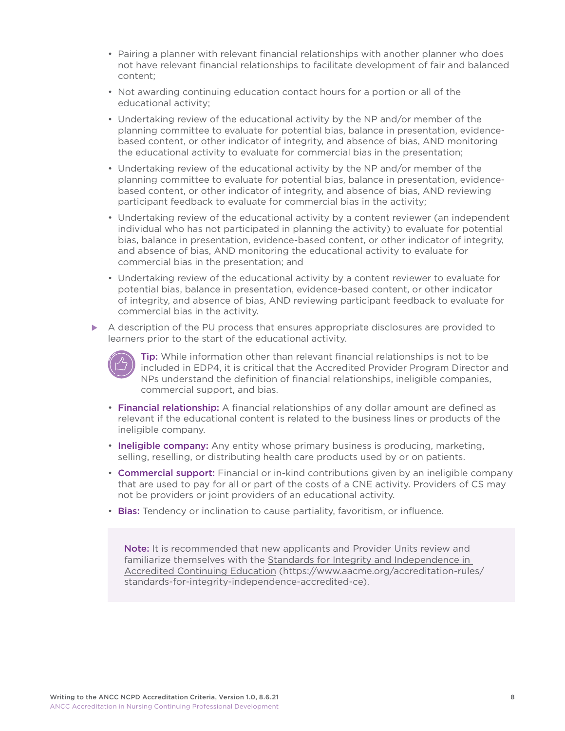- Pairing a planner with relevant financial relationships with another planner who does not have relevant financial relationships to facilitate development of fair and balanced content;
- Not awarding continuing education contact hours for a portion or all of the educational activity;
- Undertaking review of the educational activity by the NP and/or member of the planning committee to evaluate for potential bias, balance in presentation, evidencebased content, or other indicator of integrity, and absence of bias, AND monitoring the educational activity to evaluate for commercial bias in the presentation;
- Undertaking review of the educational activity by the NP and/or member of the planning committee to evaluate for potential bias, balance in presentation, evidencebased content, or other indicator of integrity, and absence of bias, AND reviewing participant feedback to evaluate for commercial bias in the activity;
- Undertaking review of the educational activity by a content reviewer (an independent individual who has not participated in planning the activity) to evaluate for potential bias, balance in presentation, evidence-based content, or other indicator of integrity, and absence of bias, AND monitoring the educational activity to evaluate for commercial bias in the presentation; and
- Undertaking review of the educational activity by a content reviewer to evaluate for potential bias, balance in presentation, evidence-based content, or other indicator of integrity, and absence of bias, AND reviewing participant feedback to evaluate for commercial bias in the activity.
- $\triangleright$  A description of the PU process that ensures appropriate disclosures are provided to learners prior to the start of the educational activity.



 Tip: While information other than relevant financial relationships is not to be included in EDP4, it is critical that the Accredited Provider Program Director and NPs understand the definition of financial relationships, ineligible companies, commercial support, and bias.

- Financial relationship: A financial relationships of any dollar amount are defined as relevant if the educational content is related to the business lines or products of the ineligible company.
- Ineligible company: Any entity whose primary business is producing, marketing, selling, reselling, or distributing health care products used by or on patients.
- Commercial support: Financial or in-kind contributions given by an ineligible company that are used to pay for all or part of the costs of a CNE activity. Providers of CS may not be providers or joint providers of an educational activity.
- Bias: Tendency or inclination to cause partiality, favoritism, or influence.

Note: It is recommended that new applicants and Provider Units review and familiarize themselves with the [Standards for Integrity and Independence in](https://www.accme.org/accreditation-rules/standards-for-integrity-independence-accredited-ce)  [Accredited Continuing Education \(https://www.aacme.org/accreditation-rules/](https://www.accme.org/accreditation-rules/standards-for-integrity-independence-accredited-ce) [standards-for-integrity-independence-accredited-ce\)](https://www.accme.org/accreditation-rules/standards-for-integrity-independence-accredited-ce).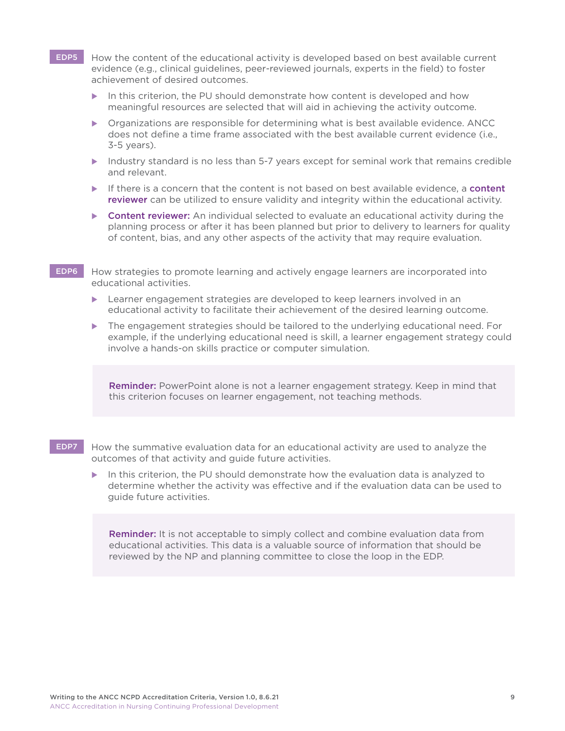<span id="page-9-0"></span>EDP5 How the content of the educational activity is developed based on best available current evidence (e.g., clinical guidelines, peer-reviewed journals, experts in the field) to foster achievement of desired outcomes.

- $\triangleright$  In this criterion, the PU should demonstrate how content is developed and how meaningful resources are selected that will aid in achieving the activity outcome.
- $\triangleright$  Organizations are responsible for determining what is best available evidence. ANCC does not define a time frame associated with the best available current evidence (i.e., 3-5 years).
- Industry standard is no less than 5-7 years except for seminal work that remains credible and relevant.
- $\blacktriangleright$  If there is a concern that the content is not based on best available evidence, a **content** reviewer can be utilized to ensure validity and integrity within the educational activity.
- **Content reviewer:** An individual selected to evaluate an educational activity during the planning process or after it has been planned but prior to delivery to learners for quality of content, bias, and any other aspects of the activity that may require evaluation.
- EDP6 How strategies to promote learning and actively engage learners are incorporated into educational activities.
	- $\blacktriangleright$  Learner engagement strategies are developed to keep learners involved in an educational activity to facilitate their achievement of the desired learning outcome.
	- $\blacktriangleright$  The engagement strategies should be tailored to the underlying educational need. For example, if the underlying educational need is skill, a learner engagement strategy could involve a hands-on skills practice or computer simulation.

Reminder: PowerPoint alone is not a learner engagement strategy. Keep in mind that this criterion focuses on learner engagement, not teaching methods.

- EDP7 How the summative evaluation data for an educational activity are used to analyze the outcomes of that activity and guide future activities.
	- In this criterion, the PU should demonstrate how the evaluation data is analyzed to determine whether the activity was effective and if the evaluation data can be used to guide future activities.

Reminder: It is not acceptable to simply collect and combine evaluation data from educational activities. This data is a valuable source of information that should be reviewed by the NP and planning committee to close the loop in the EDP.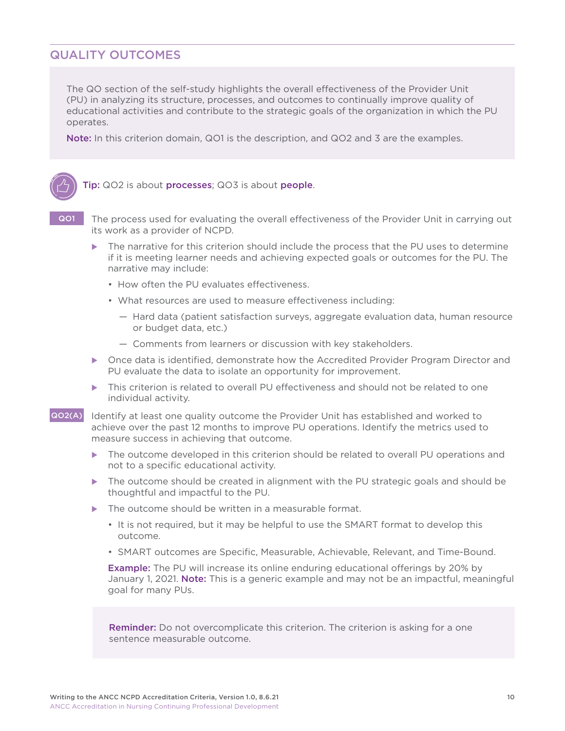### QUALITY OUTCOMES

The QO section of the self-study highlights the overall effectiveness of the Provider Unit (PU) in analyzing its structure, processes, and outcomes to continually improve quality of educational activities and contribute to the strategic goals of the organization in which the PU operates.

Note: In this criterion domain, QO1 is the description, and QO2 and 3 are the examples.



**QO1** The process used for evaluating the overall effectiveness of the Provider Unit in carrying out its work as a provider of NCPD.

- $\triangleright$  The narrative for this criterion should include the process that the PU uses to determine if it is meeting learner needs and achieving expected goals or outcomes for the PU. The narrative may include:
	- How often the PU evaluates effectiveness.
	- What resources are used to measure effectiveness including:
		- Hard data (patient satisfaction surveys, aggregate evaluation data, human resource or budget data, etc.)
		- Comments from learners or discussion with key stakeholders.
- **Democe data is identified, demonstrate how the Accredited Provider Program Director and** PU evaluate the data to isolate an opportunity for improvement.
- $\triangleright$  This criterion is related to overall PU effectiveness and should not be related to one individual activity.
- QO2(A) Identify at least one quality outcome the Provider Unit has established and worked to achieve over the past 12 months to improve PU operations. Identify the metrics used to measure success in achieving that outcome.
	- $\triangleright$  The outcome developed in this criterion should be related to overall PU operations and not to a specific educational activity.
	- $\triangleright$  The outcome should be created in alignment with the PU strategic goals and should be thoughtful and impactful to the PU.
	- The outcome should be written in a measurable format.
		- It is not required, but it may be helpful to use the SMART format to develop this outcome.
		- SMART outcomes are Specific, Measurable, Achievable, Relevant, and Time-Bound.

 Example: The PU will increase its online enduring educational offerings by 20% by January 1, 2021. Note: This is a generic example and may not be an impactful, meaningful goal for many PUs.

**Reminder:** Do not overcomplicate this criterion. The criterion is asking for a one sentence measurable outcome.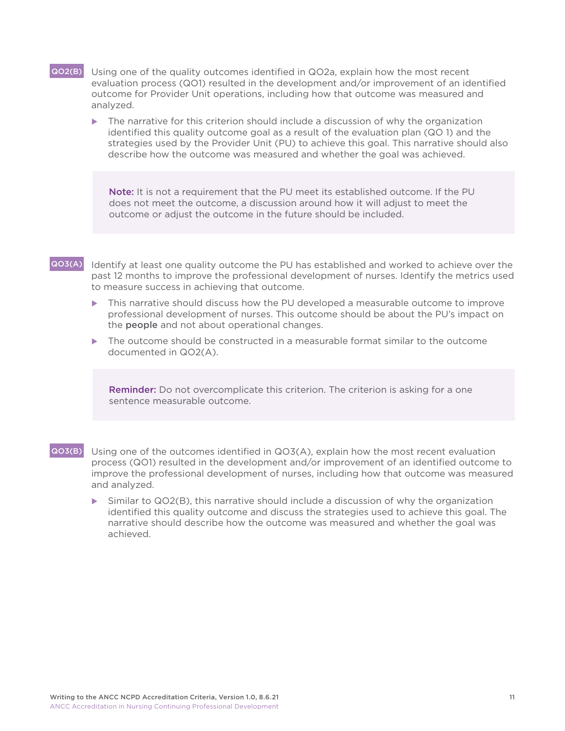- <span id="page-11-0"></span>QO2(B) Using one of the quality outcomes identified in QO2a, explain how the most recent evaluation process (QO1) resulted in the development and/or improvement of an identified outcome for Provider Unit operations, including how that outcome was measured and analyzed.
	- $\triangleright$  The narrative for this criterion should include a discussion of why the organization identified this quality outcome goal as a result of the evaluation plan (QO 1) and the strategies used by the Provider Unit (PU) to achieve this goal. This narrative should also describe how the outcome was measured and whether the goal was achieved.

Note: It is not a requirement that the PU meet its established outcome. If the PU does not meet the outcome, a discussion around how it will adjust to meet the outcome or adjust the outcome in the future should be included.

#### QO3(A) Identify at least one quality outcome the PU has established and worked to achieve over the past 12 months to improve the professional development of nurses. Identify the metrics used to measure success in achieving that outcome.

- This narrative should discuss how the PU developed a measurable outcome to improve professional development of nurses. This outcome should be about the PU's impact on the people and not about operational changes.
- $\triangleright$  The outcome should be constructed in a measurable format similar to the outcome documented in QO2(A).

**Reminder:** Do not overcomplicate this criterion. The criterion is asking for a one sentence measurable outcome.

- QO3(B) Using one of the outcomes identified in QO3(A), explain how the most recent evaluation process (QO1) resulted in the development and/or improvement of an identified outcome to improve the professional development of nurses, including how that outcome was measured and analyzed.
	- $\triangleright$  Similar to QO2(B), this narrative should include a discussion of why the organization identified this quality outcome and discuss the strategies used to achieve this goal. The narrative should describe how the outcome was measured and whether the goal was achieved.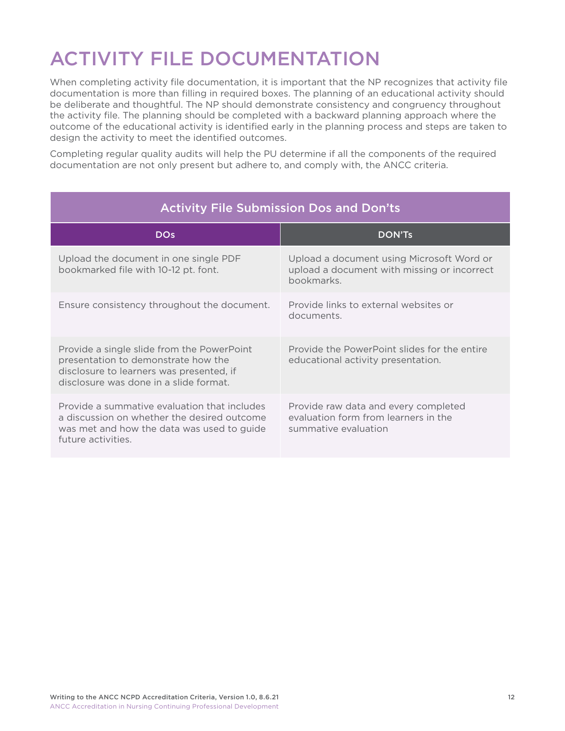# <span id="page-12-0"></span>ACTIVITY FILE DOCUMENTATION

When completing activity file documentation, it is important that the NP recognizes that activity file documentation is more than filling in required boxes. The planning of an educational activity should be deliberate and thoughtful. The NP should demonstrate consistency and congruency throughout the activity file. The planning should be completed with a backward planning approach where the outcome of the educational activity is identified early in the planning process and steps are taken to design the activity to meet the identified outcomes.

Completing regular quality audits will help the PU determine if all the components of the required documentation are not only present but adhere to, and comply with, the ANCC criteria.

| <b>Activity File Submission Dos and Don'ts</b>                                                                                                                          |                                                                                                        |  |
|-------------------------------------------------------------------------------------------------------------------------------------------------------------------------|--------------------------------------------------------------------------------------------------------|--|
| <b>DOs</b>                                                                                                                                                              | <b>DON'TS</b>                                                                                          |  |
| Upload the document in one single PDF<br>bookmarked file with 10-12 pt. font.                                                                                           | Upload a document using Microsoft Word or<br>upload a document with missing or incorrect<br>bookmarks. |  |
| Ensure consistency throughout the document.                                                                                                                             | Provide links to external websites or<br>documents.                                                    |  |
| Provide a single slide from the PowerPoint<br>presentation to demonstrate how the<br>disclosure to learners was presented, if<br>disclosure was done in a slide format. | Provide the PowerPoint slides for the entire<br>educational activity presentation.                     |  |
| Provide a summative evaluation that includes<br>a discussion on whether the desired outcome<br>was met and how the data was used to guide<br>future activities.         | Provide raw data and every completed<br>evaluation form from learners in the<br>summative evaluation   |  |

#### Writing to the ANCC NCPD Accreditation Criteria, Version 1.0, 8.6.21 12 ANCC Accreditation in Nursing Continuing Professional Development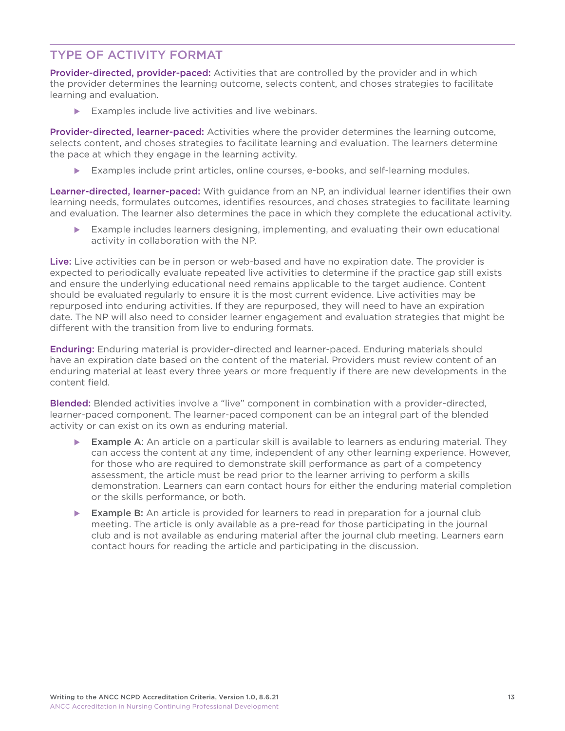# <span id="page-13-0"></span>TYPE OF ACTIVITY FORMAT

Provider-directed, provider-paced: Activities that are controlled by the provider and in which the provider determines the learning outcome, selects content, and choses strategies to facilitate learning and evaluation.

 $\blacktriangleright$  Examples include live activities and live webinars.

Provider-directed, learner-paced: Activities where the provider determines the learning outcome, selects content, and choses strategies to facilitate learning and evaluation. The learners determine the pace at which they engage in the learning activity.

 $\blacktriangleright$  Examples include print articles, online courses, e-books, and self-learning modules.

Learner-directed, learner-paced: With guidance from an NP, an individual learner identifies their own learning needs, formulates outcomes, identifies resources, and choses strategies to facilitate learning and evaluation. The learner also determines the pace in which they complete the educational activity.

Example includes learners designing, implementing, and evaluating their own educational activity in collaboration with the NP.

Live: Live activities can be in person or web-based and have no expiration date. The provider is expected to periodically evaluate repeated live activities to determine if the practice gap still exists and ensure the underlying educational need remains applicable to the target audience. Content should be evaluated regularly to ensure it is the most current evidence. Live activities may be repurposed into enduring activities. If they are repurposed, they will need to have an expiration date. The NP will also need to consider learner engagement and evaluation strategies that might be different with the transition from live to enduring formats.

Enduring: Enduring material is provider-directed and learner-paced. Enduring materials should have an expiration date based on the content of the material. Providers must review content of an enduring material at least every three years or more frequently if there are new developments in the content field.

Blended: Blended activities involve a "live" component in combination with a provider-directed, learner-paced component. The learner-paced component can be an integral part of the blended activity or can exist on its own as enduring material.

- Example A: An article on a particular skill is available to learners as enduring material. They can access the content at any time, independent of any other learning experience. However, for those who are required to demonstrate skill performance as part of a competency assessment, the article must be read prior to the learner arriving to perform a skills demonstration. Learners can earn contact hours for either the enduring material completion or the skills performance, or both.
- **Example B:** An article is provided for learners to read in preparation for a journal club meeting. The article is only available as a pre-read for those participating in the journal club and is not available as enduring material after the journal club meeting. Learners earn contact hours for reading the article and participating in the discussion.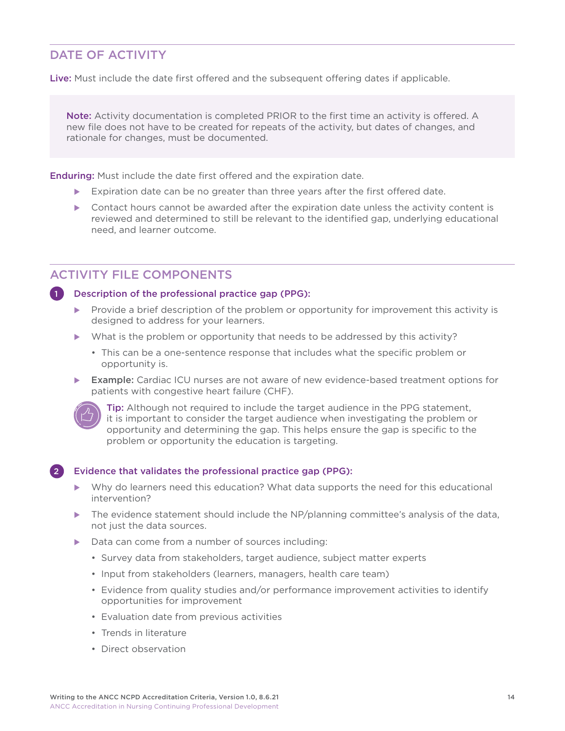# DATE OF ACTIVITY

Live: Must include the date first offered and the subsequent offering dates if applicable.

Note: Activity documentation is completed PRIOR to the first time an activity is offered. A new file does not have to be created for repeats of the activity, but dates of changes, and rationale for changes, must be documented.

**Enduring:** Must include the date first offered and the expiration date.

- Expiration date can be no greater than three years after the first offered date.
- $\triangleright$  Contact hours cannot be awarded after the expiration date unless the activity content is reviewed and determined to still be relevant to the identified gap, underlying educational need, and learner outcome.

### ACTIVITY FILE COMPONENTS

Description of the professional practice gap (PPG):

- Provide a brief description of the problem or opportunity for improvement this activity is designed to address for your learners.
- $\blacktriangleright$  What is the problem or opportunity that needs to be addressed by this activity?
	- This can be a one-sentence response that includes what the specific problem or opportunity is.
- **Example:** Cardiac ICU nurses are not aware of new evidence-based treatment options for patients with congestive heart failure (CHF).



Tip: Although not required to include the target audience in the PPG statement, it is important to consider the target audience when investigating the problem or opportunity and determining the gap. This helps ensure the gap is specific to the problem or opportunity the education is targeting.

#### 2 Evidence that validates the professional practice gap (PPG):

- Why do learners need this education? What data supports the need for this educational intervention?
- The evidence statement should include the NP/planning committee's analysis of the data, not just the data sources.
- $\triangleright$  Data can come from a number of sources including:
	- Survey data from stakeholders, target audience, subject matter experts
	- Input from stakeholders (learners, managers, health care team)
	- Evidence from quality studies and/or performance improvement activities to identify opportunities for improvement
	- Evaluation date from previous activities
	- Trends in literature
	- Direct observation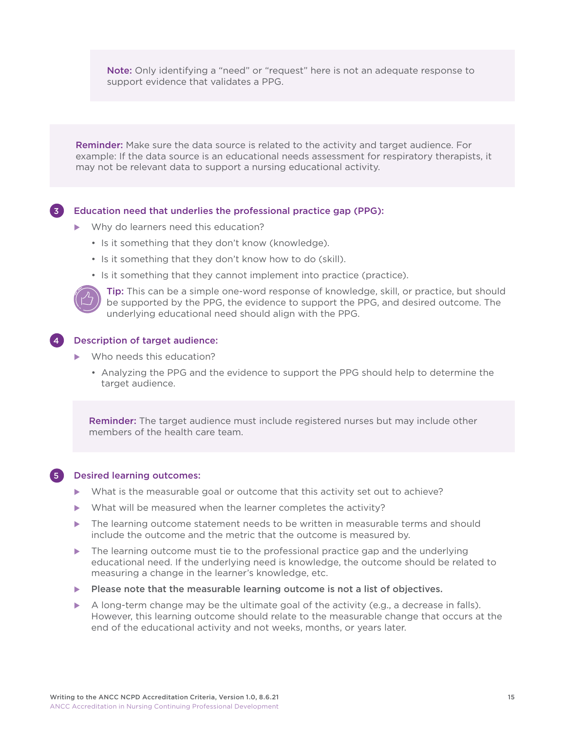Note: Only identifying a "need" or "request" here is not an adequate response to support evidence that validates a PPG.

 Reminder: Make sure the data source is related to the activity and target audience. For example: If the data source is an educational needs assessment for respiratory therapists, it may not be relevant data to support a nursing educational activity.

#### 3 Education need that underlies the professional practice gap (PPG):

- $\blacktriangleright$  Why do learners need this education?
	- Is it something that they don't know (knowledge).
	- Is it something that they don't know how to do (skill).
	- Is it something that they cannot implement into practice (practice).



 Tip: This can be a simple one-word response of knowledge, skill, or practice, but should be supported by the PPG, the evidence to support the PPG, and desired outcome. The underlying educational need should align with the PPG.

#### 4 Description of target audience:

- $\blacktriangleright$  Who needs this education?
	- Analyzing the PPG and the evidence to support the PPG should help to determine the target audience.

Reminder: The target audience must include registered nurses but may include other members of the health care team.



#### 5 Desired learning outcomes:

- $\blacktriangleright$  What is the measurable goal or outcome that this activity set out to achieve?
- What will be measured when the learner completes the activity?
- The learning outcome statement needs to be written in measurable terms and should include the outcome and the metric that the outcome is measured by.
- The learning outcome must tie to the professional practice gap and the underlying educational need. If the underlying need is knowledge, the outcome should be related to measuring a change in the learner's knowledge, etc.
- $\blacktriangleright$  Please note that the measurable learning outcome is not a list of objectives.
- $\triangleright$  A long-term change may be the ultimate goal of the activity (e.g., a decrease in falls). However, this learning outcome should relate to the measurable change that occurs at the end of the educational activity and not weeks, months, or years later.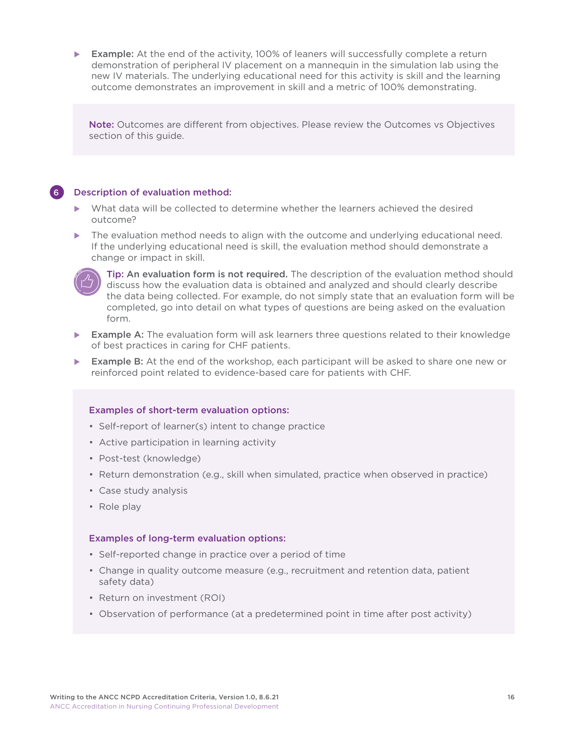**Example:** At the end of the activity, 100% of leaners will successfully complete a return demonstration of peripheral IV placement on a mannequin in the simulation lab using the new IV materials. The underlying educational need for this activity is skill and the learning outcome demonstrates an improvement in skill and a metric of 100% demonstrating.

Note: Outcomes are different from objectives. Please review the Outcomes vs Objectives section of this guide.

#### 6 Description of evaluation method:

- What data will be collected to determine whether the learners achieved the desired outcome?
- The evaluation method needs to align with the outcome and underlying educational need. If the underlying educational need is skill, the evaluation method should demonstrate a change or impact in skill.



 Tip: An evaluation form is not required. The description of the evaluation method should discuss how the evaluation data is obtained and analyzed and should clearly describe the data being collected. For example, do not simply state that an evaluation form will be completed, go into detail on what types of questions are being asked on the evaluation form.

- $\blacktriangleright$  Example A: The evaluation form will ask learners three questions related to their knowledge of best practices in caring for CHF patients.
- **Example B:** At the end of the workshop, each participant will be asked to share one new or reinforced point related to evidence-based care for patients with CHF.

#### Examples of short-term evaluation options:

- Self-report of learner(s) intent to change practice
- Active participation in learning activity
- Post-test (knowledge)
- Return demonstration (e.g., skill when simulated, practice when observed in practice)
- Case study analysis
- Role play

#### Examples of long-term evaluation options:

- Self-reported change in practice over a period of time
- Change in quality outcome measure (e.g., recruitment and retention data, patient safety data)
- Return on investment (ROI)
- Observation of performance (at a predetermined point in time after post activity)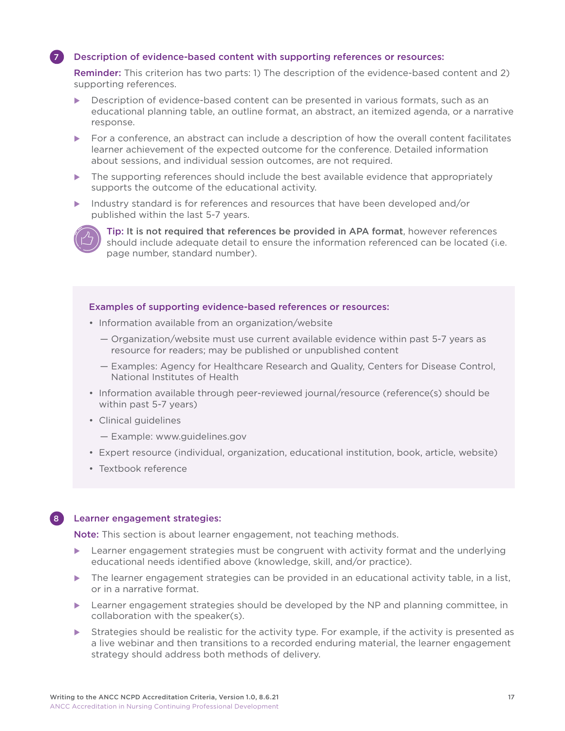#### Description of evidence-based content with supporting references or resources:

 Reminder: This criterion has two parts: 1) The description of the evidence-based content and 2) supporting references.

- Description of evidence-based content can be presented in various formats, such as an educational planning table, an outline format, an abstract, an itemized agenda, or a narrative response.
- $\triangleright$  For a conference, an abstract can include a description of how the overall content facilitates learner achievement of the expected outcome for the conference. Detailed information about sessions, and individual session outcomes, are not required.
- The supporting references should include the best available evidence that appropriately supports the outcome of the educational activity.
- Industry standard is for references and resources that have been developed and/or published within the last 5-7 years.



 Tip: It is not required that references be provided in APA format, however references should include adequate detail to ensure the information referenced can be located (i.e. page number, standard number).

#### Examples of supporting evidence-based references or resources:

- Information available from an organization/website
	- Organization/website must use current available evidence within past 5-7 years as resource for readers; may be published or unpublished content
	- Examples: Agency for Healthcare Research and Quality, Centers for Disease Control, National Institutes of Health
- Information available through peer-reviewed journal/resource (reference(s) should be within past 5-7 years)
- Clinical guidelines
	- Example: www.guidelines.gov
- Expert resource (individual, organization, educational institution, book, article, website)
- Textbook reference

#### 8 Learner engagement strategies:

Note: This section is about learner engagement, not teaching methods.

- $\blacktriangleright$  Learner engagement strategies must be congruent with activity format and the underlying educational needs identified above (knowledge, skill, and/or practice).
- The learner engagement strategies can be provided in an educational activity table, in a list, or in a narrative format.
- $\blacktriangleright$  Learner engagement strategies should be developed by the NP and planning committee, in collaboration with the speaker(s).
- Strategies should be realistic for the activity type. For example, if the activity is presented as a live webinar and then transitions to a recorded enduring material, the learner engagement strategy should address both methods of delivery.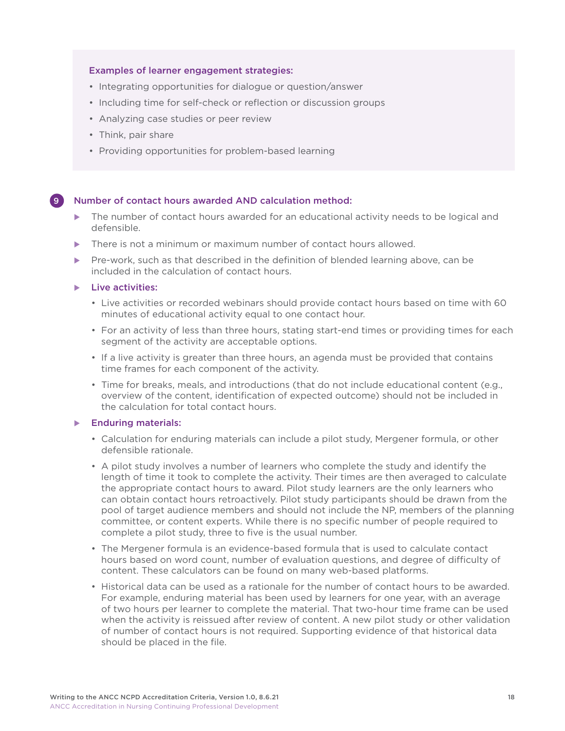#### Examples of learner engagement strategies:

- Integrating opportunities for dialogue or question/answer
- Including time for self-check or reflection or discussion groups
- Analyzing case studies or peer review
- Think, pair share
- Providing opportunities for problem-based learning

#### 9 Number of contact hours awarded AND calculation method:

- The number of contact hours awarded for an educational activity needs to be logical and defensible.
- There is not a minimum or maximum number of contact hours allowed.
- Pre-work, such as that described in the definition of blended learning above, can be included in the calculation of contact hours.

 $\blacktriangleright$  Live activities:

- Live activities or recorded webinars should provide contact hours based on time with 60 minutes of educational activity equal to one contact hour.
- For an activity of less than three hours, stating start-end times or providing times for each segment of the activity are acceptable options.
- If a live activity is greater than three hours, an agenda must be provided that contains time frames for each component of the activity.
- Time for breaks, meals, and introductions (that do not include educational content (e.g., overview of the content, identification of expected outcome) should not be included in the calculation for total contact hours.

#### $\blacktriangleright$  Enduring materials:

- Calculation for enduring materials can include a pilot study, Mergener formula, or other defensible rationale.
- A pilot study involves a number of learners who complete the study and identify the length of time it took to complete the activity. Their times are then averaged to calculate the appropriate contact hours to award. Pilot study learners are the only learners who can obtain contact hours retroactively. Pilot study participants should be drawn from the pool of target audience members and should not include the NP, members of the planning committee, or content experts. While there is no specific number of people required to complete a pilot study, three to five is the usual number.
- The Mergener formula is an evidence-based formula that is used to calculate contact hours based on word count, number of evaluation questions, and degree of difficulty of content. These calculators can be found on many web-based platforms.
- Historical data can be used as a rationale for the number of contact hours to be awarded. For example, enduring material has been used by learners for one year, with an average of two hours per learner to complete the material. That two-hour time frame can be used when the activity is reissued after review of content. A new pilot study or other validation of number of contact hours is not required. Supporting evidence of that historical data should be placed in the file.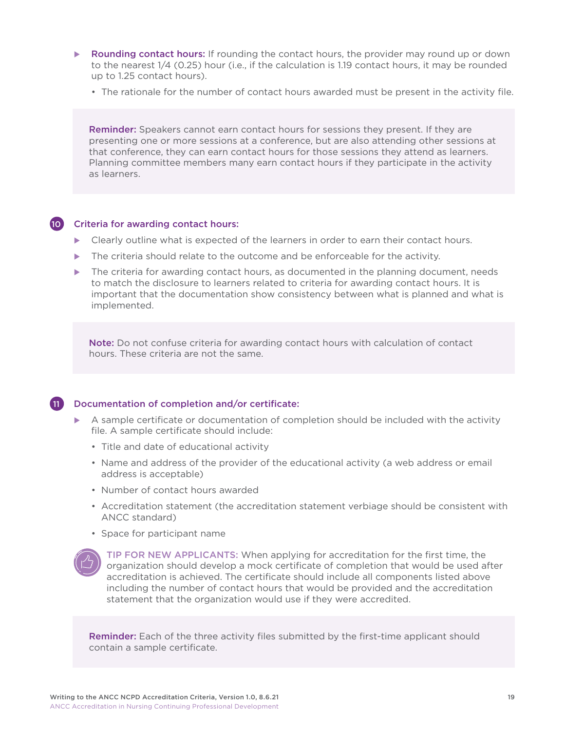- $\triangleright$  Rounding contact hours: If rounding the contact hours, the provider may round up or down to the nearest 1/4 (0.25) hour (i.e., if the calculation is 1.19 contact hours, it may be rounded up to 1.25 contact hours).
	- The rationale for the number of contact hours awarded must be present in the activity file.

Reminder: Speakers cannot earn contact hours for sessions they present. If they are presenting one or more sessions at a conference, but are also attending other sessions at that conference, they can earn contact hours for those sessions they attend as learners. Planning committee members many earn contact hours if they participate in the activity as learners.

#### 10 Criteria for awarding contact hours:

- Clearly outline what is expected of the learners in order to earn their contact hours.
- The criteria should relate to the outcome and be enforceable for the activity.
- The criteria for awarding contact hours, as documented in the planning document, needs to match the disclosure to learners related to criteria for awarding contact hours. It is important that the documentation show consistency between what is planned and what is implemented.

Note: Do not confuse criteria for awarding contact hours with calculation of contact hours. These criteria are not the same.

#### 11 Documentation of completion and/or certificate:

- A sample certificate or documentation of completion should be included with the activity file. A sample certificate should include:
	- Title and date of educational activity
	- Name and address of the provider of the educational activity (a web address or email address is acceptable)
	- Number of contact hours awarded
	- Accreditation statement (the accreditation statement verbiage should be consistent with ANCC standard)
	- Space for participant name



 TIP FOR NEW APPLICANTS: When applying for accreditation for the first time, the organization should develop a mock certificate of completion that would be used after accreditation is achieved. The certificate should include all components listed above including the number of contact hours that would be provided and the accreditation statement that the organization would use if they were accredited.

Reminder: Each of the three activity files submitted by the first-time applicant should contain a sample certificate.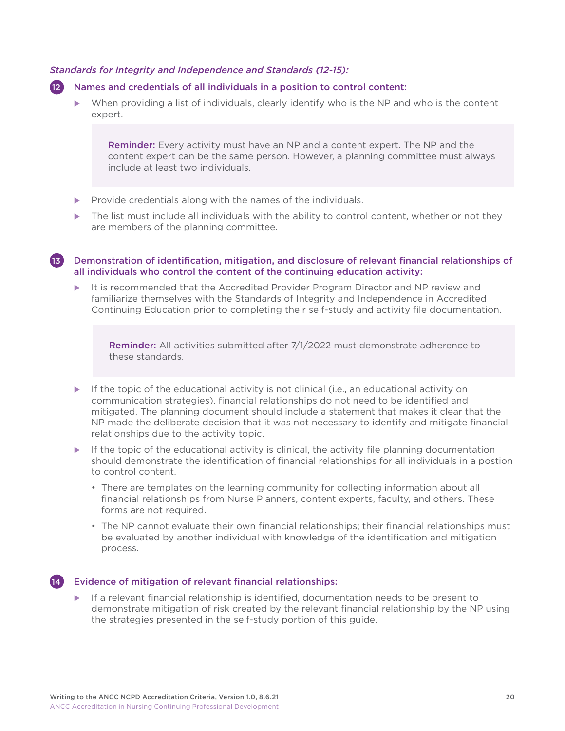#### *Standards for Integrity and Independence and Standards (12-15):*

#### 12 Names and credentials of all individuals in a position to control content:

 $\triangleright$  When providing a list of individuals, clearly identify who is the NP and who is the content expert.

**Reminder:** Every activity must have an NP and a content expert. The NP and the content expert can be the same person. However, a planning committee must always include at least two individuals.

- $\blacktriangleright$  Provide credentials along with the names of the individuals.
- The list must include all individuals with the ability to control content, whether or not they are members of the planning committee.
- 13 Demonstration of identification, mitigation, and disclosure of relevant financial relationships of all individuals who control the content of the continuing education activity:
	- It is recommended that the Accredited Provider Program Director and NP review and familiarize themselves with the Standards of Integrity and Independence in Accredited Continuing Education prior to completing their self-study and activity file documentation.

Reminder: All activities submitted after 7/1/2022 must demonstrate adherence to these standards.

- $\blacktriangleright$  If the topic of the educational activity is not clinical (i.e., an educational activity on communication strategies), financial relationships do not need to be identified and mitigated. The planning document should include a statement that makes it clear that the NP made the deliberate decision that it was not necessary to identify and mitigate financial relationships due to the activity topic.
- $\blacktriangleright$  If the topic of the educational activity is clinical, the activity file planning documentation should demonstrate the identification of financial relationships for all individuals in a postion to control content.
	- There are templates on the learning community for collecting information about all financial relationships from Nurse Planners, content experts, faculty, and others. These forms are not required.
	- The NP cannot evaluate their own financial relationships; their financial relationships must be evaluated by another individual with knowledge of the identification and mitigation process.

#### 14 Evidence of mitigation of relevant financial relationships:

If a relevant financial relationship is identified, documentation needs to be present to demonstrate mitigation of risk created by the relevant financial relationship by the NP using the strategies presented in the self-study portion of this guide.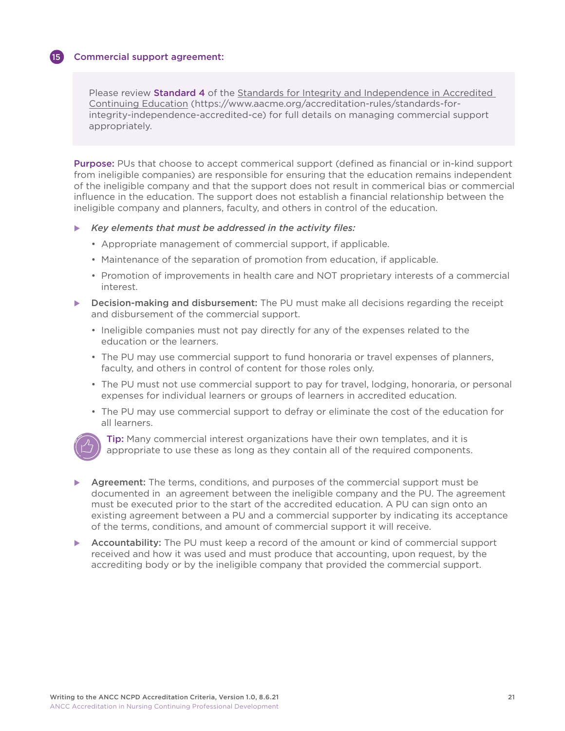#### Commercial support agreement:

Please review Standard 4 of the Standards for Integrity and Independence in Accredited [Continuing Education \(https://www.aacme.org/accreditation-rules/standards-for](https://www.aacme.org/accreditation-rules/standards-for-integrity-independence-accredited-ce)[integrity-independence-accredited-ce](https://www.aacme.org/accreditation-rules/standards-for-integrity-independence-accredited-ce)) for full details on managing commercial support appropriately.

 Purpose: PUs that choose to accept commerical support (defined as financial or in-kind support from ineligible companies) are responsible for ensuring that the education remains independent of the ineligible company and that the support does not result in commerical bias or commercial influence in the education. The support does not establish a financial relationship between the ineligible company and planners, faculty, and others in control of the education.

#### u *Key elements that must be addressed in the activity files:*

- Appropriate management of commercial support, if applicable.
- Maintenance of the separation of promotion from education, if applicable.
- Promotion of improvements in health care and NOT proprietary interests of a commercial interest.
- Decision-making and disbursement: The PU must make all decisions regarding the receipt and disbursement of the commercial support.
	- Ineligible companies must not pay directly for any of the expenses related to the education or the learners.
	- The PU may use commercial support to fund honoraria or travel expenses of planners, faculty, and others in control of content for those roles only.
	- The PU must not use commercial support to pay for travel, lodging, honoraria, or personal expenses for individual learners or groups of learners in accredited education.
	- The PU may use commercial support to defray or eliminate the cost of the education for all learners.



**Tip:** Many commercial interest organizations have their own templates, and it is appropriate to use these as long as they contain all of the required components.

- Agreement: The terms, conditions, and purposes of the commercial support must be documented in an agreement between the ineligible company and the PU. The agreement must be executed prior to the start of the accredited education. A PU can sign onto an existing agreement between a PU and a commercial supporter by indicating its acceptance of the terms, conditions, and amount of commercial support it will receive.
- Accountability: The PU must keep a record of the amount or kind of commercial support received and how it was used and must produce that accounting, upon request, by the accrediting body or by the ineligible company that provided the commercial support.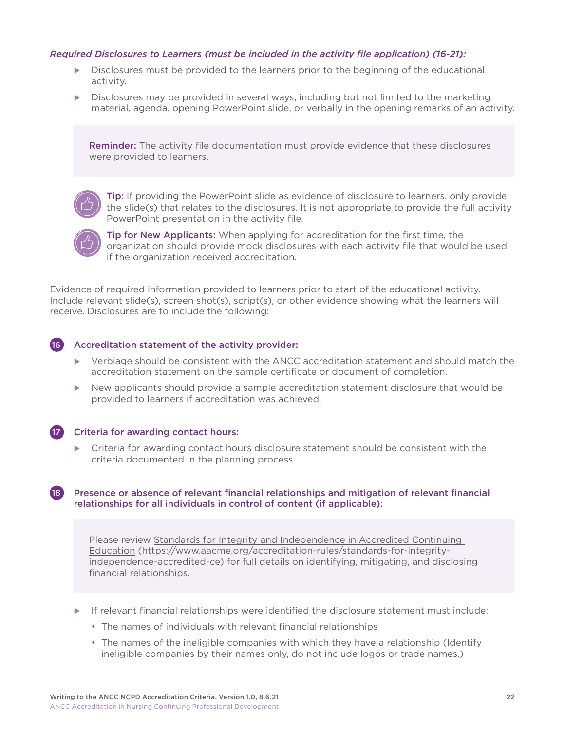#### *Required Disclosures to Learners (must be included in the activity file application) (16-21):*

- $\triangleright$  Disclosures must be provided to the learners prior to the beginning of the educational activity.
- Disclosures may be provided in several ways, including but not limited to the marketing material, agenda, opening PowerPoint slide, or verbally in the opening remarks of an activity.

Reminder: The activity file documentation must provide evidence that these disclosures were provided to learners.



**Tip:** If providing the PowerPoint slide as evidence of disclosure to learners, only provide the slide(s) that relates to the disclosures. It is not appropriate to provide the full activity PowerPoint presentation in the activity file.

 Tip for New Applicants: When applying for accreditation for the first time, the organization should provide mock disclosures with each activity file that would be used if the organization received accreditation.

Evidence of required information provided to learners prior to start of the educational activity. Include relevant slide(s), screen shot(s), script(s), or other evidence showing what the learners will receive. Disclosures are to include the following:

#### 16 Accreditation statement of the activity provider:

- $\blacktriangleright$  Verbiage should be consistent with the ANCC accreditation statement and should match the accreditation statement on the sample certificate or document of completion.
- New applicants should provide a sample accreditation statement disclosure that would be provided to learners if accreditation was achieved.

#### 17 Criteria for awarding contact hours:

 $\blacktriangleright$  Criteria for awarding contact hours disclosure statement should be consistent with the criteria documented in the planning process.

#### 18 Presence or absence of relevant financial relationships and mitigation of relevant financial relationships for all individuals in control of content (if applicable):

Please review [Standards for Integrity and Independence in Accredited Continuing](https://www.aacme.org/accreditation-rules/standards-for-integrity-independence-accredited-ce)  [Education \(https://www.aacme.org/accreditation-rules/standards-for-integrity](https://www.aacme.org/accreditation-rules/standards-for-integrity-independence-accredited-ce)[independence-accredited-ce\)](https://www.aacme.org/accreditation-rules/standards-for-integrity-independence-accredited-ce) for full details on identifying, mitigating, and disclosing financial relationships.

- $\blacktriangleright$  If relevant financial relationships were identified the disclosure statement must include:
	- The names of individuals with relevant financial relationships
	- The names of the ineligible companies with which they have a relationship (Identify ineligible companies by their names only, do not include logos or trade names.)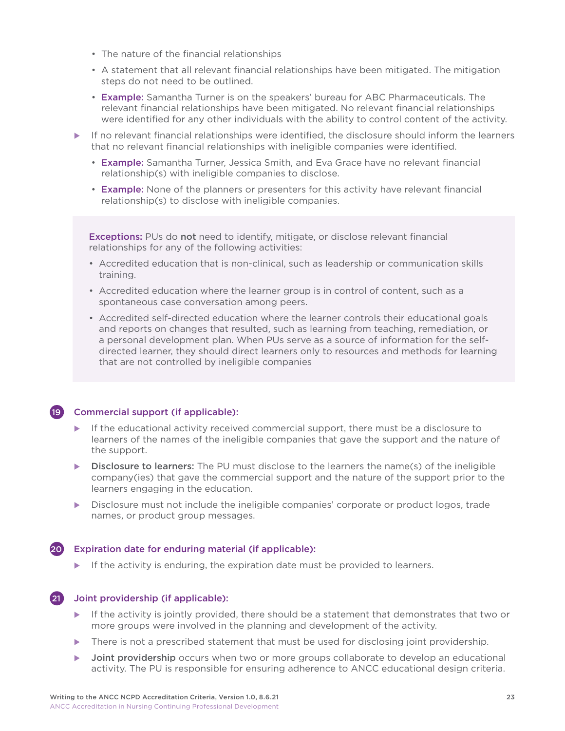- The nature of the financial relationships
- A statement that all relevant financial relationships have been mitigated. The mitigation steps do not need to be outlined.
- Example: Samantha Turner is on the speakers' bureau for ABC Pharmaceuticals. The relevant financial relationships have been mitigated. No relevant financial relationships were identified for any other individuals with the ability to control content of the activity.
- If no relevant financial relationships were identified, the disclosure should inform the learners that no relevant financial relationships with ineligible companies were identified.
	- Example: Samantha Turner, Jessica Smith, and Eva Grace have no relevant financial relationship(s) with ineligible companies to disclose.
	- Example: None of the planners or presenters for this activity have relevant financial relationship(s) to disclose with ineligible companies.

Exceptions: PUs do not need to identify, mitigate, or disclose relevant financial relationships for any of the following activities:

- Accredited education that is non-clinical, such as leadership or communication skills training.
- Accredited education where the learner group is in control of content, such as a spontaneous case conversation among peers.
- Accredited self-directed education where the learner controls their educational goals and reports on changes that resulted, such as learning from teaching, remediation, or a personal development plan. When PUs serve as a source of information for the selfdirected learner, they should direct learners only to resources and methods for learning that are not controlled by ineligible companies

#### 19 Commercial support (if applicable):

- If the educational activity received commercial support, there must be a disclosure to learners of the names of the ineligible companies that gave the support and the nature of the support.
- $\triangleright$  Disclosure to learners: The PU must disclose to the learners the name(s) of the ineligible company(ies) that gave the commercial support and the nature of the support prior to the learners engaging in the education.
- Disclosure must not include the ineligible companies' corporate or product logos, trade names, or product group messages.

#### 20 Expiration date for enduring material (if applicable):

 $\blacktriangleright$  If the activity is enduring, the expiration date must be provided to learners.



#### 21 Joint providership (if applicable):

- $\blacktriangleright$  If the activity is jointly provided, there should be a statement that demonstrates that two or more groups were involved in the planning and development of the activity.
- There is not a prescribed statement that must be used for disclosing joint providership.
- Joint providership occurs when two or more groups collaborate to develop an educational activity. The PU is responsible for ensuring adherence to ANCC educational design criteria.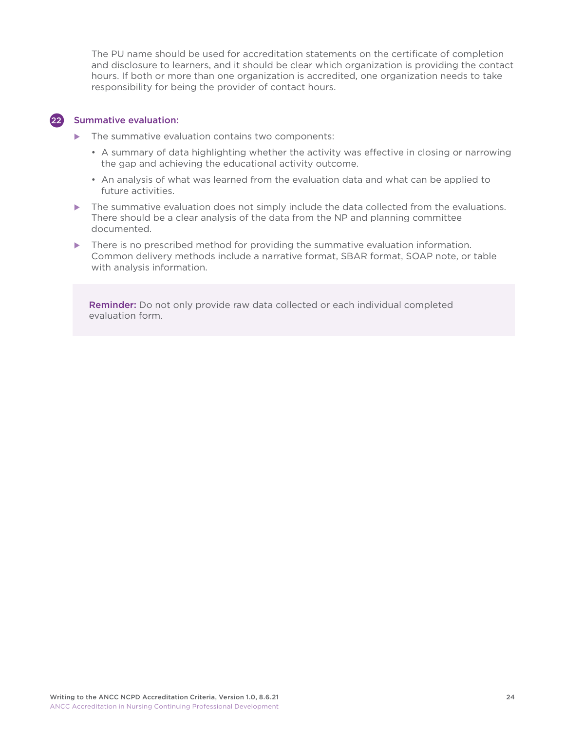The PU name should be used for accreditation statements on the certificate of completion and disclosure to learners, and it should be clear which organization is providing the contact hours. If both or more than one organization is accredited, one organization needs to take responsibility for being the provider of contact hours.

#### 22 Summative evaluation:

- $\blacktriangleright$  The summative evaluation contains two components:
	- A summary of data highlighting whether the activity was effective in closing or narrowing the gap and achieving the educational activity outcome.
	- An analysis of what was learned from the evaluation data and what can be applied to future activities.
- $\blacktriangleright$  The summative evaluation does not simply include the data collected from the evaluations. There should be a clear analysis of the data from the NP and planning committee documented.
- There is no prescribed method for providing the summative evaluation information. Common delivery methods include a narrative format, SBAR format, SOAP note, or table with analysis information.

Reminder: Do not only provide raw data collected or each individual completed evaluation form.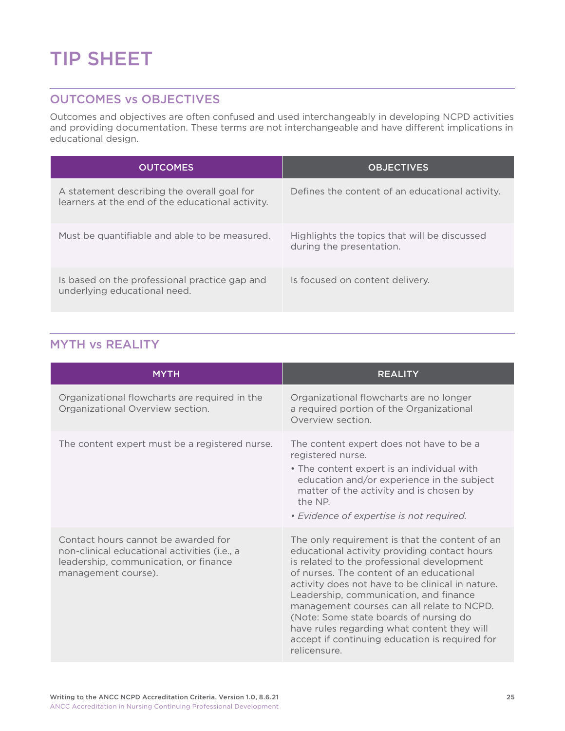# <span id="page-25-0"></span>TIP SHEET

### OUTCOMES vs OBJECTIVES

Outcomes and objectives are often confused and used interchangeably in developing NCPD activities and providing documentation. These terms are not interchangeable and have different implications in educational design.

| <b>OUTCOMES</b>                                                                                 | <b>OBJECTIVES</b>                                                        |
|-------------------------------------------------------------------------------------------------|--------------------------------------------------------------------------|
| A statement describing the overall goal for<br>learners at the end of the educational activity. | Defines the content of an educational activity.                          |
| Must be quantifiable and able to be measured.                                                   | Highlights the topics that will be discussed<br>during the presentation. |
| Is based on the professional practice gap and<br>underlying educational need.                   | Is focused on content delivery.                                          |

# MYTH vs REALITY

| <b>MYTH</b>                                                                                                                                         | <b>REALITY</b>                                                                                                                                                                                                                                                                                                                                                                                                                                                                                  |
|-----------------------------------------------------------------------------------------------------------------------------------------------------|-------------------------------------------------------------------------------------------------------------------------------------------------------------------------------------------------------------------------------------------------------------------------------------------------------------------------------------------------------------------------------------------------------------------------------------------------------------------------------------------------|
| Organizational flowcharts are required in the<br>Organizational Overview section.                                                                   | Organizational flowcharts are no longer<br>a required portion of the Organizational<br>Overview section.                                                                                                                                                                                                                                                                                                                                                                                        |
| The content expert must be a registered nurse.                                                                                                      | The content expert does not have to be a<br>registered nurse.<br>• The content expert is an individual with<br>education and/or experience in the subject<br>matter of the activity and is chosen by<br>the NP.<br>• Evidence of expertise is not required.                                                                                                                                                                                                                                     |
| Contact hours cannot be awarded for<br>non-clinical educational activities (i.e., a<br>leadership, communication, or finance<br>management course). | The only requirement is that the content of an<br>educational activity providing contact hours<br>is related to the professional development<br>of nurses. The content of an educational<br>activity does not have to be clinical in nature.<br>Leadership, communication, and finance<br>management courses can all relate to NCPD.<br>(Note: Some state boards of nursing do<br>have rules regarding what content they will<br>accept if continuing education is required for<br>relicensure. |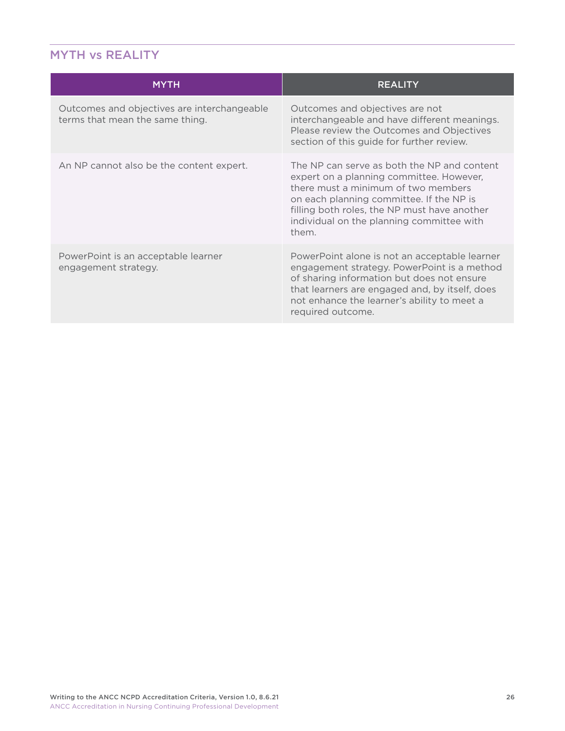# <span id="page-26-0"></span>MYTH vs REALITY

| <b>MYTH</b>                                                                    | <b>REALITY</b>                                                                                                                                                                                                                                                                   |
|--------------------------------------------------------------------------------|----------------------------------------------------------------------------------------------------------------------------------------------------------------------------------------------------------------------------------------------------------------------------------|
| Outcomes and objectives are interchangeable<br>terms that mean the same thing. | Outcomes and objectives are not<br>interchangeable and have different meanings.<br>Please review the Outcomes and Objectives<br>section of this guide for further review.                                                                                                        |
| An NP cannot also be the content expert.                                       | The NP can serve as both the NP and content<br>expert on a planning committee. However,<br>there must a minimum of two members<br>on each planning committee. If the NP is<br>filling both roles, the NP must have another<br>individual on the planning committee with<br>them. |
| PowerPoint is an acceptable learner<br>engagement strategy.                    | PowerPoint alone is not an acceptable learner<br>engagement strategy. PowerPoint is a method<br>of sharing information but does not ensure<br>that learners are engaged and, by itself, does<br>not enhance the learner's ability to meet a<br>required outcome.                 |